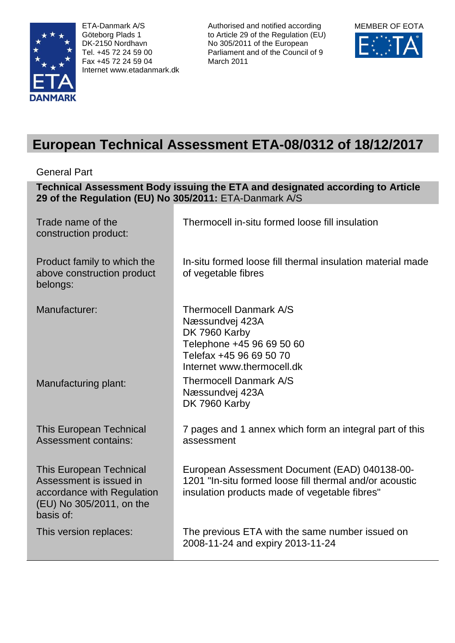

ETA-Danmark A/S Göteborg Plads 1 DK-2150 Nordhavn Tel. +45 72 24 59 00 Fax +45 72 24 59 04 Internet www.etadanmark.dk Authorised and notified according to Article 29 of the Regulation (EU) No 305/2011 of the European Parliament and of the Council of 9 March 2011



# **European Technical Assessment ETA-08/0312 of 18/12/2017**

General Part

| Technical Assessment Body issuing the ETA and designated according to Article<br>29 of the Regulation (EU) No 305/2011: ETA-Danmark A/S |                                                                                                                                                           |  |  |
|-----------------------------------------------------------------------------------------------------------------------------------------|-----------------------------------------------------------------------------------------------------------------------------------------------------------|--|--|
| Trade name of the<br>construction product:                                                                                              | Thermocell in-situ formed loose fill insulation                                                                                                           |  |  |
| Product family to which the<br>above construction product<br>belongs:                                                                   | In-situ formed loose fill thermal insulation material made<br>of vegetable fibres                                                                         |  |  |
| Manufacturer:                                                                                                                           | <b>Thermocell Danmark A/S</b><br>Næssundvej 423A<br>DK 7960 Karby<br>Telephone +45 96 69 50 60<br>Telefax +45 96 69 50 70<br>Internet www.thermocell.dk   |  |  |
| Manufacturing plant:                                                                                                                    | <b>Thermocell Danmark A/S</b><br>Næssundvej 423A<br>DK 7960 Karby                                                                                         |  |  |
| <b>This European Technical</b><br><b>Assessment contains:</b>                                                                           | 7 pages and 1 annex which form an integral part of this<br>assessment                                                                                     |  |  |
| <b>This European Technical</b><br>Assessment is issued in<br>accordance with Regulation<br>(EU) No 305/2011, on the<br>basis of:        | European Assessment Document (EAD) 040138-00-<br>1201 "In-situ formed loose fill thermal and/or acoustic<br>insulation products made of vegetable fibres" |  |  |
| This version replaces:                                                                                                                  | The previous ETA with the same number issued on<br>2008-11-24 and expiry 2013-11-24                                                                       |  |  |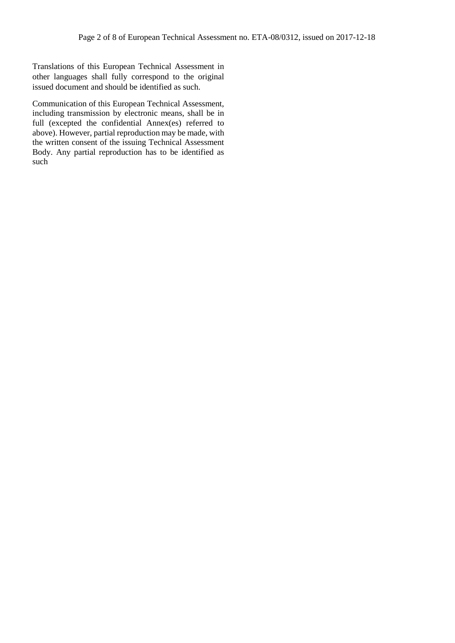Translations of this European Technical Assessment in other languages shall fully correspond to the original issued document and should be identified as such.

Communication of this European Technical Assessment, including transmission by electronic means, shall be in full (excepted the confidential Annex(es) referred to above). However, partial reproduction may be made, with the written consent of the issuing Technical Assessment Body. Any partial reproduction has to be identified as such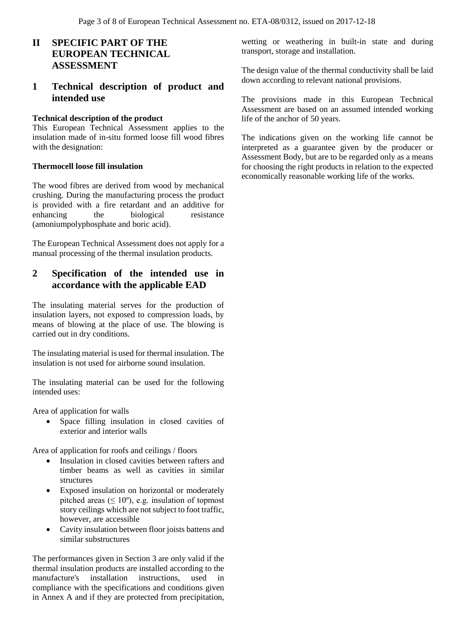## **II SPECIFIC PART OF THE EUROPEAN TECHNICAL ASSESSMENT**

### **1 Technical description of product and intended use**

#### **Technical description of the product**

This European Technical Assessment applies to the insulation made of in-situ formed loose fill wood fibres with the designation:

#### **Thermocell loose fill insulation**

The wood fibres are derived from wood by mechanical crushing. During the manufacturing process the product is provided with a fire retardant and an additive for enhancing the biological resistance (amoniumpolyphosphate and boric acid).

The European Technical Assessment does not apply for a manual processing of the thermal insulation products.

## **2 Specification of the intended use in accordance with the applicable EAD**

The insulating material serves for the production of insulation layers, not exposed to compression loads, by means of blowing at the place of use. The blowing is carried out in dry conditions.

The insulating material is used for thermal insulation. The insulation is not used for airborne sound insulation.

The insulating material can be used for the following intended uses:

Area of application for walls

 Space filling insulation in closed cavities of exterior and interior walls

Area of application for roofs and ceilings / floors

- Insulation in closed cavities between rafters and timber beams as well as cavities in similar structures
- Exposed insulation on horizontal or moderately pitched areas ( $\leq 10^{\circ}$ ), e.g. insulation of topmost story ceilings which are not subject to foot traffic, however, are accessible
- Cavity insulation between floor joists battens and similar substructures

The performances given in Section 3 are only valid if the thermal insulation products are installed according to the manufacture's installation instructions, used in compliance with the specifications and conditions given in Annex A and if they are protected from precipitation,

wetting or weathering in built-in state and during transport, storage and installation.

The design value of the thermal conductivity shall be laid down according to relevant national provisions.

The provisions made in this European Technical Assessment are based on an assumed intended working life of the anchor of 50 years.

The indications given on the working life cannot be interpreted as a guarantee given by the producer or Assessment Body, but are to be regarded only as a means for choosing the right products in relation to the expected economically reasonable working life of the works.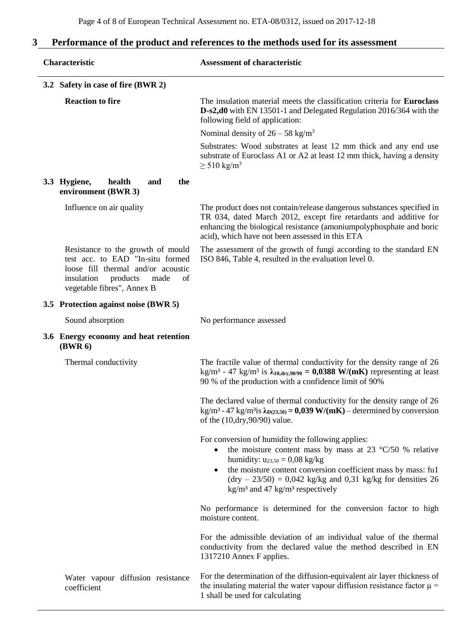## **3 Performance of the product and references to the methods used for its assessment**

| Characteristic                                                                                                                                                                    | <b>Assessment of characteristic</b>                                                                                                                                                                                                                                                                                                                     |
|-----------------------------------------------------------------------------------------------------------------------------------------------------------------------------------|---------------------------------------------------------------------------------------------------------------------------------------------------------------------------------------------------------------------------------------------------------------------------------------------------------------------------------------------------------|
| 3.2 Safety in case of fire (BWR 2)                                                                                                                                                |                                                                                                                                                                                                                                                                                                                                                         |
| <b>Reaction to fire</b>                                                                                                                                                           | The insulation material meets the classification criteria for <b>Euroclass</b><br>D-s2,d0 with EN 13501-1 and Delegated Regulation 2016/364 with the<br>following field of application:                                                                                                                                                                 |
|                                                                                                                                                                                   | Nominal density of $26 - 58$ kg/m <sup>3</sup>                                                                                                                                                                                                                                                                                                          |
|                                                                                                                                                                                   | Substrates: Wood substrates at least 12 mm thick and any end use<br>substrate of Euroclass A1 or A2 at least 12 mm thick, having a density<br>$\geq$ 510 kg/m <sup>3</sup>                                                                                                                                                                              |
| 3.3 Hygiene,<br>health<br>the<br>and<br>environment (BWR 3)                                                                                                                       |                                                                                                                                                                                                                                                                                                                                                         |
| Influence on air quality                                                                                                                                                          | The product does not contain/release dangerous substances specified in<br>TR 034, dated March 2012, except fire retardants and additive for<br>enhancing the biological resistance (amoniumpolyphosphate and boric<br>acid), which have not been assessed in this ETA                                                                                   |
| Resistance to the growth of mould<br>test acc. to EAD "In-situ formed<br>loose fill thermal and/or acoustic<br>products<br>insulation<br>made<br>of<br>vegetable fibres", Annex B | The assessment of the growth of fungi according to the standard EN<br>ISO 846, Table 4, resulted in the evaluation level 0.                                                                                                                                                                                                                             |
| 3.5 Protection against noise (BWR 5)                                                                                                                                              |                                                                                                                                                                                                                                                                                                                                                         |
| Sound absorption                                                                                                                                                                  | No performance assessed                                                                                                                                                                                                                                                                                                                                 |
| 3.6 Energy economy and heat retention<br>(BWR <sub>6</sub> )                                                                                                                      |                                                                                                                                                                                                                                                                                                                                                         |
| Thermal conductivity                                                                                                                                                              | The fractile value of thermal conductivity for the density range of 26<br>kg/m <sup>3</sup> - 47 kg/m <sup>3</sup> is $\lambda_{10, \text{dry}, 90/90} = 0,0388$ W/(mK) representing at least<br>90 % of the production with a confidence limit of 90%                                                                                                  |
|                                                                                                                                                                                   | The declared value of thermal conductivity for the density range of 26<br>kg/m <sup>3</sup> - 47 kg/m <sup>3</sup> is $\lambda_{D(23,50)} = 0.039$ W/(mK) – determined by conversion<br>of the $(10, \text{dry}, 90/90)$ value.                                                                                                                         |
|                                                                                                                                                                                   | For conversion of humidity the following applies:<br>the moisture content mass by mass at 23 $\degree$ C/50 % relative<br>humidity: $u_{23,50} = 0.08$ kg/kg<br>the moisture content conversion coefficient mass by mass: ful<br>$(dry - 23/50) = 0,042$ kg/kg and 0,31 kg/kg for densities 26<br>$\text{kg/m}^3$ and 47 kg/m <sup>3</sup> respectively |
|                                                                                                                                                                                   | No performance is determined for the conversion factor to high<br>moisture content.                                                                                                                                                                                                                                                                     |
|                                                                                                                                                                                   | For the admissible deviation of an individual value of the thermal<br>conductivity from the declared value the method described in EN<br>1317210 Annex F applies.                                                                                                                                                                                       |
| Water vapour diffusion resistance<br>coefficient                                                                                                                                  | For the determination of the diffusion-equivalent air layer thickness of<br>the insulating material the water vapour diffusion resistance factor $\mu$ =<br>1 shall be used for calculating                                                                                                                                                             |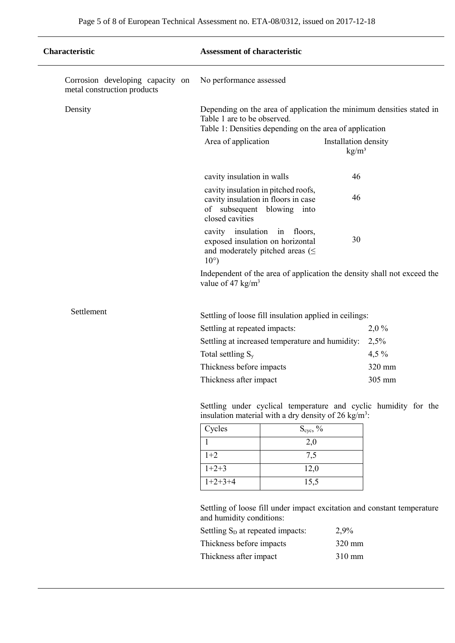| Characteristic                                                  | <b>Assessment of characteristic</b>                                                                                                                            |                                                                  |                                         |                                                                         |
|-----------------------------------------------------------------|----------------------------------------------------------------------------------------------------------------------------------------------------------------|------------------------------------------------------------------|-----------------------------------------|-------------------------------------------------------------------------|
| Corrosion developing capacity on<br>metal construction products | No performance assessed                                                                                                                                        |                                                                  |                                         |                                                                         |
| Density                                                         | Depending on the area of application the minimum densities stated in<br>Table 1 are to be observed.<br>Table 1: Densities depending on the area of application |                                                                  |                                         |                                                                         |
|                                                                 | Area of application                                                                                                                                            |                                                                  | Installation density<br>$\text{kg/m}^3$ |                                                                         |
|                                                                 | cavity insulation in walls                                                                                                                                     |                                                                  | 46                                      |                                                                         |
|                                                                 | cavity insulation in pitched roofs,<br>cavity insulation in floors in case<br>of subsequent blowing into<br>closed cavities                                    |                                                                  | 46                                      |                                                                         |
|                                                                 | cavity insulation in floors,<br>exposed insulation on horizontal<br>and moderately pitched areas $(\leq$<br>$10^{\circ}$ )                                     |                                                                  | 30                                      |                                                                         |
|                                                                 | value of 47 $\text{kg/m}^3$                                                                                                                                    |                                                                  |                                         | Independent of the area of application the density shall not exceed the |
| Settlement                                                      |                                                                                                                                                                |                                                                  |                                         |                                                                         |
|                                                                 | Settling of loose fill insulation applied in ceilings:<br>Settling at repeated impacts:                                                                        |                                                                  |                                         | 2,0%                                                                    |
|                                                                 |                                                                                                                                                                | Settling at increased temperature and humidity:                  |                                         | 2,5%                                                                    |
|                                                                 | Total settling S <sub>y</sub>                                                                                                                                  |                                                                  |                                         | $4,5\%$                                                                 |
|                                                                 | Thickness before impacts                                                                                                                                       |                                                                  |                                         | 320 mm                                                                  |
|                                                                 | Thickness after impact                                                                                                                                         |                                                                  |                                         | 305 mm                                                                  |
|                                                                 |                                                                                                                                                                | insulation material with a dry density of 26 kg/m <sup>3</sup> : |                                         | Settling under cyclical temperature and cyclic humidity for the         |
|                                                                 | Cycles                                                                                                                                                         | $S_{\rm cyc},\,\%$                                               |                                         |                                                                         |
|                                                                 | 1                                                                                                                                                              | 2,0                                                              |                                         |                                                                         |
|                                                                 | $1+2$                                                                                                                                                          | 7,5                                                              |                                         |                                                                         |
|                                                                 | $1+2+3$                                                                                                                                                        | 12,0                                                             |                                         |                                                                         |
|                                                                 | $1+2+3+4$                                                                                                                                                      | 15,5                                                             |                                         |                                                                         |
|                                                                 | and humidity conditions:                                                                                                                                       |                                                                  |                                         | Settling of loose fill under impact excitation and constant temperature |
|                                                                 | Settling S <sub>D</sub> at repeated impacts:                                                                                                                   |                                                                  | 2,9%                                    |                                                                         |
|                                                                 | Thickness before impacts                                                                                                                                       |                                                                  | 320 mm                                  |                                                                         |
|                                                                 | Thickness after impact                                                                                                                                         |                                                                  | 310 mm                                  |                                                                         |
|                                                                 |                                                                                                                                                                |                                                                  |                                         |                                                                         |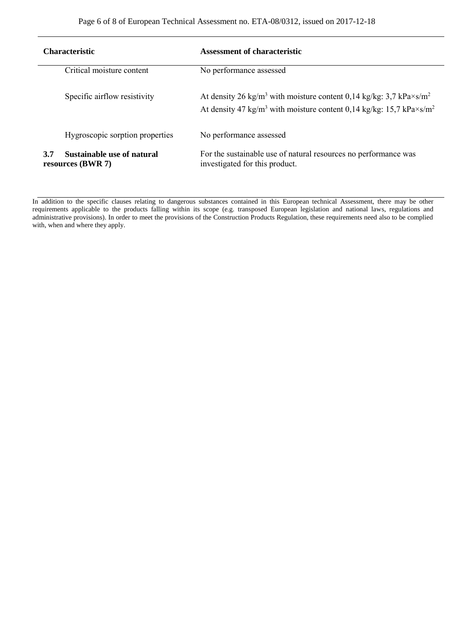| <b>Characteristic</b>                                         | Assessment of characteristic                                                                                                                                                                                |
|---------------------------------------------------------------|-------------------------------------------------------------------------------------------------------------------------------------------------------------------------------------------------------------|
| Critical moisture content                                     | No performance assessed                                                                                                                                                                                     |
| Specific airflow resistivity                                  | At density 26 kg/m <sup>3</sup> with moisture content 0,14 kg/kg: 3,7 kPa $\times$ s/m <sup>2</sup><br>At density 47 kg/m <sup>3</sup> with moisture content 0,14 kg/kg: 15,7 kPa $\times$ s/m <sup>2</sup> |
| Hygroscopic sorption properties                               | No performance assessed                                                                                                                                                                                     |
| <b>Sustainable use of natural</b><br>3.7<br>resources (BWR 7) | For the sustainable use of natural resources no performance was<br>investigated for this product.                                                                                                           |

In addition to the specific clauses relating to dangerous substances contained in this European technical Assessment, there may be other requirements applicable to the products falling within its scope (e.g. transposed European legislation and national laws, regulations and administrative provisions). In order to meet the provisions of the Construction Products Regulation, these requirements need also to be complied with, when and where they apply.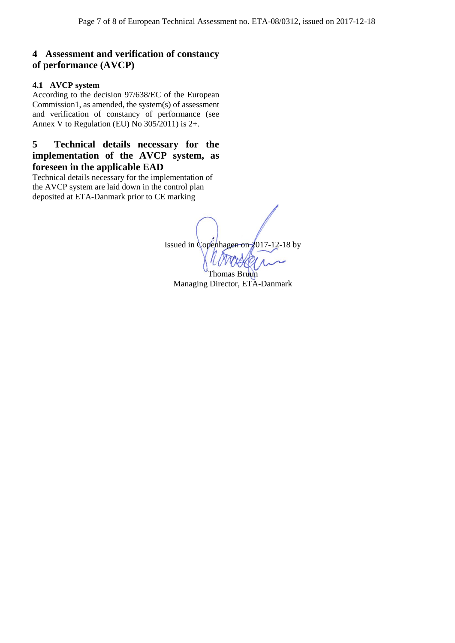## **4 Assessment and verification of constancy of performance (AVCP)**

#### **4.1 AVCP system**

According to the decision 97/638/EC of the European Commission1, as amended, the system(s) of assessment and verification of constancy of performance (see Annex V to Regulation (EU) No 305/2011) is 2+.

## **5 Technical details necessary for the implementation of the AVCP system, as foreseen in the applicable EAD**

Technical details necessary for the implementation of the AVCP system are laid down in the control plan deposited at ETA-Danmark prior to CE marking

> Issued in Copenhagen on 2017-12-18 by Thomas Bruun

Managing Director, ETA-Danmark